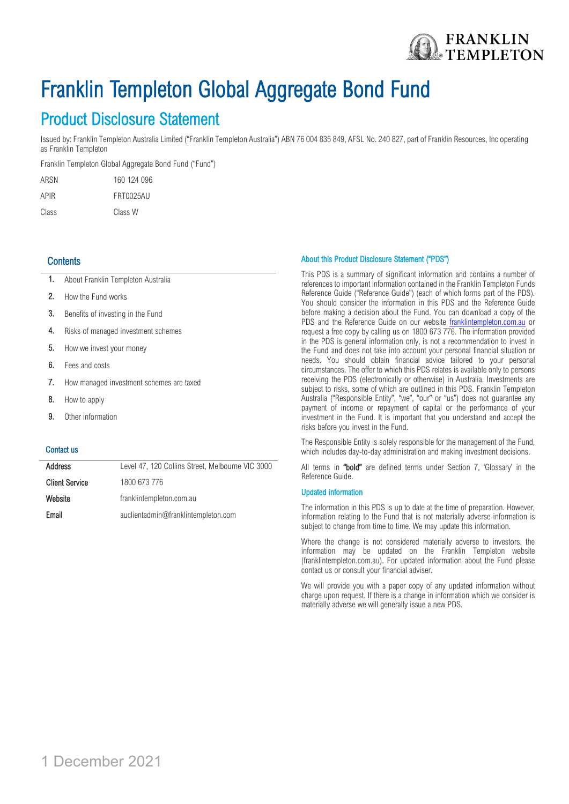

# Franklin Templeton Global Aggregate Bond Fund

Product Disclosure Statement<br>Issued by: Franklin Templeton Australia Limited ("Franklin Templeton Australia") ABN 76 004 835 849, AFSL No. 240 827, part of Franklin Resources, Inc operating as Franklin Templeton

Franklin Templeton Global Aggregate Bond Fund ("Fund")

| ARSN  | 160 124 096 |
|-------|-------------|
| APIR  | FRT0025AU   |
| Class | Class W     |

# **Contents**

- 1. About Franklin Templeton Australia
- 2. How the Fund works
- 3. Benefits of investing in the Fund
- 4. Risks of managed investment schemes
- 5. How we invest your money
- 6. Fees and costs
- 7. How managed investment schemes are taxed
- 8. How to apply
- 9. Other information

### Contact us

| <b>Address</b>        | Level 47, 120 Collins Street, Melbourne VIC 3000 |
|-----------------------|--------------------------------------------------|
| <b>Client Service</b> | 1800 673 776                                     |
| Website               | franklintempleton.com.au                         |
| Email                 | auclientadmin@franklintempleton.com              |

#### About this Product Disclosure Statement ("PDS")

This PDS is a summary of significant information and contains a number of references to important information contained in the Franklin Templeton Funds Reference Guide ("Reference Guide") (each of which forms part of the PDS). You should consider the information in this PDS and the Reference Guide before making a decision about the Fund. You can download a copy of the PDS and the Reference Guide on our website **franklintempleton.com.au** or request a free copy by calling us on 1800 673 776. The information provided in the PDS is general information only, is not a recommendation to invest in the Fund and does not take into account your personal financial situation or needs. You should obtain financial advice tailored to your personal circumstances. The offer to which this PDS relates is available only to persons receiving the PDS (electronically or otherwise) in Australia. Investments are subject to risks, some of which are outlined in this PDS. Franklin Templeton Australia ("Responsible Entity", "we", "our" or "us") does not guarantee any payment of income or repayment of capital or the performance of your investment in the Fund. It is important that you understand and accept the risks before you invest in the Fund.

The Responsible Entity is solely responsible for the management of the Fund, which includes day-to-day administration and making investment decisions.

All terms in "bold" are defined terms under Section 7, 'Glossary' in the Reference Guide.

#### Updated information

The information in this PDS is up to date at the time of preparation. However, information relating to the Fund that is not materially adverse information is subject to change from time to time. We may update this information.

Where the change is not considered materially adverse to investors, the information may be updated on the Franklin Templeton website (franklintempleton.com.au). For updated information about the Fund please contact us or consult your financial adviser.

We will provide you with a paper copy of any updated information without charge upon request. If there is a change in information which we consider is materially adverse we will generally issue a new PDS.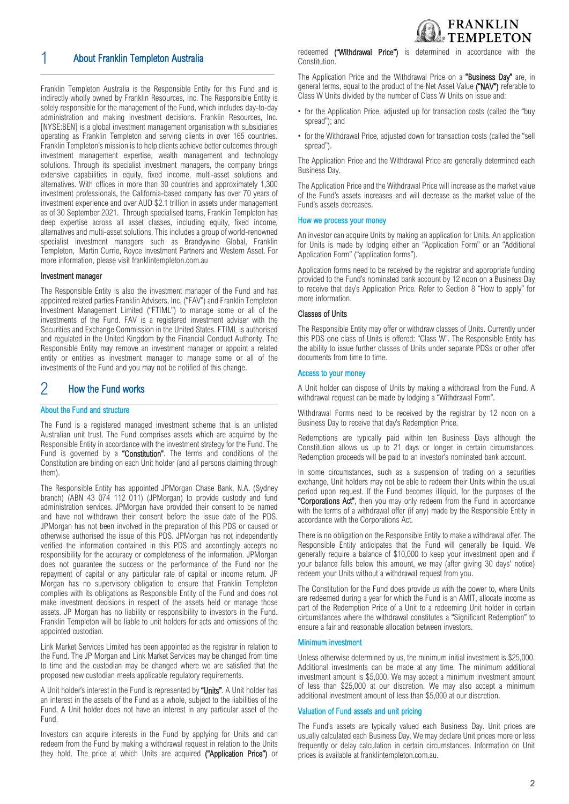

# 1 About Franklin Templeton Australia

Franklin Templeton Australia is the Responsible Entity for this Fund and is indirectly wholly owned by Franklin Resources, Inc. The Responsible Entity is solely responsible for the management of the Fund, which includes day-to-day administration and making investment decisions. Franklin Resources, Inc. [NYSE:BEN] is a global investment management organisation with subsidiaries operating as Franklin Templeton and serving clients in over 165 countries. Franklin Templeton's mission is to help clients achieve better outcomes through investment management expertise, wealth management and technology solutions. Through its specialist investment managers, the company brings extensive capabilities in equity, fixed income, multi-asset solutions and alternatives. With offices in more than 30 countries and approximately 1,300 investment professionals, the California-based company has over 70 years of investment experience and over AUD \$2.1 trillion in assets under management as of 30 September 2021. Through specialised teams, Franklin Templeton has deep expertise across all asset classes, including equity, fixed income, alternatives and multi-asset solutions. This includes a group of world-renowned specialist investment managers such as Brandywine Global, Franklin Templeton, Martin Currie, Royce Investment Partners and Western Asset. For more information, please visit franklintempleton.com.au

#### Investment manager

The Responsible Entity is also the investment manager of the Fund and has appointed related parties Franklin Advisers, Inc, ("FAV") and Franklin Templeton Investment Management Limited ("FTIML") to manage some or all of the investments of the Fund. FAV is a registered investment adviser with the Securities and Exchange Commission in the United States. FTIML is authorised and regulated in the United Kingdom by the Financial Conduct Authority. The Responsible Entity may remove an investment manager or appoint a related entity or entities as investment manager to manage some or all of the investments of the Fund and you may not be notified of this change.

# 2 How the Fund works

#### About the Fund and structure

The Fund is a registered managed investment scheme that is an unlisted Australian unit trust. The Fund comprises assets which are acquired by the Responsible Entity in accordance with the investment strategy for the Fund. The Fund is governed by a "Constitution". The terms and conditions of the Constitution are binding on each Unit holder (and all persons claiming through them).

The Responsible Entity has appointed JPMorgan Chase Bank, N.A. (Sydney branch) (ABN 43 074 112 011) (JPMorgan) to provide custody and fund administration services. JPMorgan have provided their consent to be named and have not withdrawn their consent before the issue date of the PDS. JPMorgan has not been involved in the preparation of this PDS or caused or otherwise authorised the issue of this PDS. JPMorgan has not independently verified the information contained in this PDS and accordingly accepts no responsibility for the accuracy or completeness of the information. JPMorgan does not guarantee the success or the performance of the Fund nor the repayment of capital or any particular rate of capital or income return. JP Morgan has no supervisory obligation to ensure that Franklin Templeton complies with its obligations as Responsible Entity of the Fund and does not make investment decisions in respect of the assets held or manage those assets. JP Morgan has no liability or responsibility to investors in the Fund. Franklin Templeton will be liable to unit holders for acts and omissions of the appointed custodian.

Link Market Services Limited has been appointed as the registrar in relation to the Fund. The JP Morgan and Link Market Services may be changed from time to time and the custodian may be changed where we are satisfied that the proposed new custodian meets applicable regulatory requirements.

A Unit holder's interest in the Fund is represented by "Units". A Unit holder has an interest in the assets of the Fund as a whole, subject to the liabilities of the Fund. A Unit holder does not have an interest in any particular asset of the Fund.

Investors can acquire interests in the Fund by applying for Units and can redeem from the Fund by making a withdrawal request in relation to the Units they hold. The price at which Units are acquired ("Application Price") or redeemed ("Withdrawal Price") is determined in accordance with the Constitution.

The Application Price and the Withdrawal Price on a "Business Day" are, in general terms, equal to the product of the Net Asset Value ("NAV") referable to Class W Units divided by the number of Class W Units on issue and:

- for the Application Price, adjusted up for transaction costs (called the "buy spread"); and
- for the Withdrawal Price, adjusted down for transaction costs (called the "sell spread").

The Application Price and the Withdrawal Price are generally determined each Business Day.

The Application Price and the Withdrawal Price will increase as the market value of the Fund's assets increases and will decrease as the market value of the Fund's assets decreases.

#### How we process your money

An investor can acquire Units by making an application for Units. An application for Units is made by lodging either an "Application Form" or an "Additional Application Form" ("application forms").

Application forms need to be received by the registrar and appropriate funding provided to the Fund's nominated bank account by 12 noon on a Business Day to receive that day's Application Price. Refer to Section 8 "How to apply" for more information.

#### Classes of Units

The Responsible Entity may offer or withdraw classes of Units. Currently under this PDS one class of Units is offered: "Class W". The Responsible Entity has the ability to issue further classes of Units under separate PDSs or other offer documents from time to time.

#### Access to your money

A Unit holder can dispose of Units by making a withdrawal from the Fund. A withdrawal request can be made by lodging a "Withdrawal Form".

Withdrawal Forms need to be received by the registrar by 12 noon on a Business Day to receive that day's Redemption Price.

Redemptions are typically paid within ten Business Days although the Constitution allows us up to 21 days or longer in certain circumstances. Redemption proceeds will be paid to an investor's nominated bank account.

In some circumstances, such as a suspension of trading on a securities exchange, Unit holders may not be able to redeem their Units within the usual period upon request. If the Fund becomes illiquid, for the purposes of the "Corporations Act", then you may only redeem from the Fund in accordance with the terms of a withdrawal offer (if any) made by the Responsible Entity in accordance with the Corporations Act.

There is no obligation on the Responsible Entity to make a withdrawal offer. The Responsible Entity anticipates that the Fund will generally be liquid. We generally require a balance of \$10,000 to keep your investment open and if your balance falls below this amount, we may (after giving 30 days' notice) redeem your Units without a withdrawal request from you.

The Constitution for the Fund does provide us with the power to, where Units are redeemed during a year for which the Fund is an AMIT, allocate income as part of the Redemption Price of a Unit to a redeeming Unit holder in certain circumstances where the withdrawal constitutes a "Significant Redemption" to ensure a fair and reasonable allocation between investors.

#### Minimum investment

Unless otherwise determined by us, the minimum initial investment is \$25,000. Additional investments can be made at any time. The minimum additional investment amount is \$5,000. We may accept a minimum investment amount of less than \$25,000 at our discretion. We may also accept a minimum additional investment amount of less than \$5,000 at our discretion.

#### Valuation of Fund assets and unit pricing

The Fund's assets are typically valued each Business Day. Unit prices are usually calculated each Business Day. We may declare Unit prices more or less frequently or delay calculation in certain circumstances. Information on Unit prices is available at franklintempleton.com.au.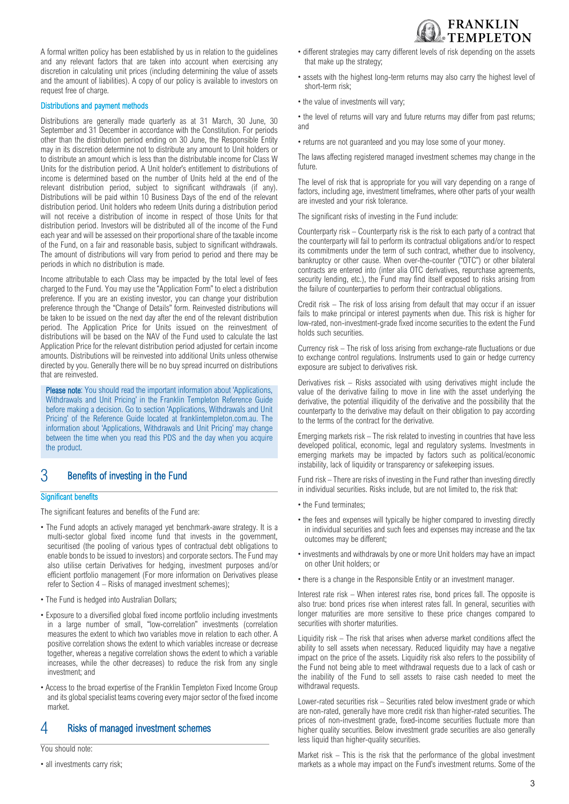A formal written policy has been established by us in relation to the guidelines and any relevant factors that are taken into account when exercising any discretion in calculating unit prices (including determining the value of assets and the amount of liabilities). A copy of our policy is available to investors on request free of charge.

#### Distributions and payment methods

Distributions are generally made quarterly as at 31 March, 30 June, 30 September and 31 December in accordance with the Constitution. For periods other than the distribution period ending on 30 June, the Responsible Entity may in its discretion determine not to distribute any amount to Unit holders or to distribute an amount which is less than the distributable income for Class W Units for the distribution period. A Unit holder's entitlement to distributions of income is determined based on the number of Units held at the end of the relevant distribution period, subject to significant withdrawals (if any). Distributions will be paid within 10 Business Days of the end of the relevant distribution period. Unit holders who redeem Units during a distribution period will not receive a distribution of income in respect of those Units for that distribution period. Investors will be distributed all of the income of the Fund each year and will be assessed on their proportional share of the taxable income of the Fund, on a fair and reasonable basis, subject to significant withdrawals. The amount of distributions will vary from period to period and there may be periods in which no distribution is made.

Income attributable to each Class may be impacted by the total level of fees charged to the Fund. You may use the "Application Form" to elect a distribution preference. If you are an existing investor, you can change your distribution preference through the "Change of Details" form. Reinvested distributions will be taken to be issued on the next day after the end of the relevant distribution period. The Application Price for Units issued on the reinvestment of distributions will be based on the NAV of the Fund used to calculate the last Application Price for the relevant distribution period adjusted for certain income amounts. Distributions will be reinvested into additional Units unless otherwise directed by you. Generally there will be no buy spread incurred on distributions that are reinvested.

Please note: You should read the important information about 'Applications, Withdrawals and Unit Pricing' in the Franklin Templeton Reference Guide before making a decision. Go to section 'Applications, Withdrawals and Unit Pricing' of the Reference Guide located at franklintempleton.com.au. The information about 'Applications, Withdrawals and Unit Pricing' may change between the time when you read this PDS and the day when you acquire the product.

# 3 Benefits of investing in the Fund

#### **Significant benefits**

The significant features and benefits of the Fund are:

- The Fund adopts an actively managed yet benchmark-aware strategy. It is a multi-sector global fixed income fund that invests in the government, securitised (the pooling of various types of contractual debt obligations to enable bonds to be issued to investors) and corporate sectors. The Fund may also utilise certain Derivatives for hedging, investment purposes and/or efficient portfolio management (For more information on Derivatives please refer to Section 4 – Risks of managed investment schemes);
- The Fund is hedged into Australian Dollars;
- Exposure to a diversified global fixed income portfolio including investments in a large number of small, "low-correlation" investments (correlation measures the extent to which two variables move in relation to each other. A positive correlation shows the extent to which variables increase or decrease together, whereas a negative correlation shows the extent to which a variable increases, while the other decreases) to reduce the risk from any single investment; and
- Access to the broad expertise of the Franklin Templeton Fixed Income Group and its global specialist teams covering every major sector of the fixed income market.

# 4 Risks of managed investment schemes

You should note:

• all investments carry risk;



- different strategies may carry different levels of risk depending on the assets that make up the strategy;
- assets with the highest long-term returns may also carry the highest level of short-term risk;
- the value of investments will vary;

• the level of returns will vary and future returns may differ from past returns; and

• returns are not guaranteed and you may lose some of your money.

The laws affecting registered managed investment schemes may change in the future.

The level of risk that is appropriate for you will vary depending on a range of factors, including age, investment timeframes, where other parts of your wealth are invested and your risk tolerance.

The significant risks of investing in the Fund include:

Counterparty risk – Counterparty risk is the risk to each party of a contract that the counterparty will fail to perform its contractual obligations and/or to respect its commitments under the term of such contract, whether due to insolvency, bankruptcy or other cause. When over-the-counter ("OTC") or other bilateral contracts are entered into (inter alia OTC derivatives, repurchase agreements, security lending, etc.), the Fund may find itself exposed to risks arising from the failure of counterparties to perform their contractual obligations.

Credit risk – The risk of loss arising from default that may occur if an issuer fails to make principal or interest payments when due. This risk is higher for low-rated, non-investment-grade fixed income securities to the extent the Fund holds such securities.

Currency risk – The risk of loss arising from exchange-rate fluctuations or due to exchange control regulations. Instruments used to gain or hedge currency exposure are subject to derivatives risk.

Derivatives risk – Risks associated with using derivatives might include the value of the derivative failing to move in line with the asset underlying the derivative, the potential illiquidity of the derivative and the possibility that the counterparty to the derivative may default on their obligation to pay according to the terms of the contract for the derivative.

Emerging markets risk – The risk related to investing in countries that have less developed political, economic, legal and regulatory systems. Investments in emerging markets may be impacted by factors such as political/economic instability, lack of liquidity or transparency or safekeeping issues.

Fund risk – There are risks of investing in the Fund rather than investing directly in individual securities. Risks include, but are not limited to, the risk that:

- the Fund terminates:
- the fees and expenses will typically be higher compared to investing directly in individual securities and such fees and expenses may increase and the tax outcomes may be different;
- investments and withdrawals by one or more Unit holders may have an impact on other Unit holders; or
- there is a change in the Responsible Entity or an investment manager.

Interest rate risk – When interest rates rise, bond prices fall. The opposite is also true: bond prices rise when interest rates fall. In general, securities with longer maturities are more sensitive to these price changes compared to securities with shorter maturities.

Liquidity risk – The risk that arises when adverse market conditions affect the ability to sell assets when necessary. Reduced liquidity may have a negative impact on the price of the assets. Liquidity risk also refers to the possibility of the Fund not being able to meet withdrawal requests due to a lack of cash or the inability of the Fund to sell assets to raise cash needed to meet the withdrawal requests.

Lower-rated securities risk – Securities rated below investment grade or which are non-rated, generally have more credit risk than higher-rated securities. The prices of non-investment grade, fixed-income securities fluctuate more than higher quality securities. Below investment grade securities are also generally less liquid than higher-quality securities.

Market risk – This is the risk that the performance of the global investment markets as a whole may impact on the Fund's investment returns. Some of the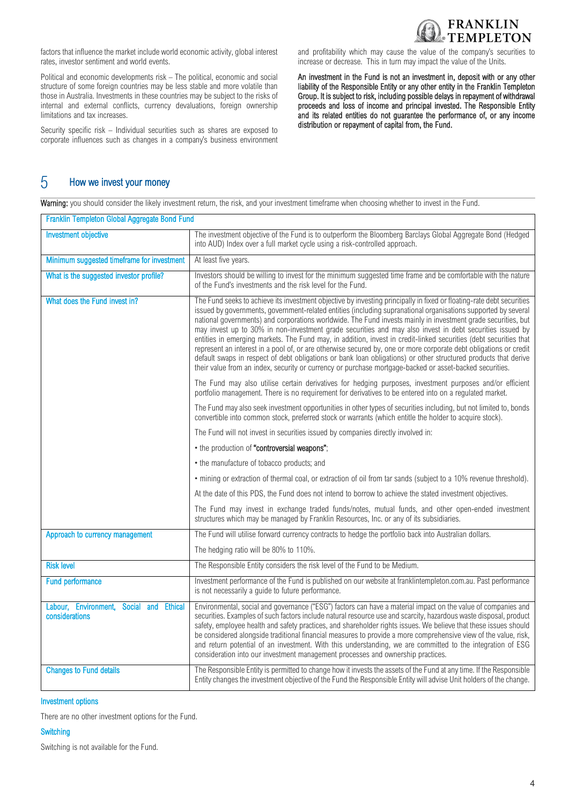

factors that influence the market include world economic activity, global interest rates, investor sentiment and world events.

Political and economic developments risk – The political, economic and social structure of some foreign countries may be less stable and more volatile than those in Australia. Investments in these countries may be subject to the risks of internal and external conflicts, currency devaluations, foreign ownership limitations and tax increases.

Security specific risk – Individual securities such as shares are exposed to corporate influences such as changes in a company's business environment

and profitability which may cause the value of the company's securities to increase or decrease. This in turn may impact the value of the Units.

An investment in the Fund is not an investment in, deposit with or any other liability of the Responsible Entity or any other entity in the Franklin Templeton Group. It is subject to risk, including possible delays in repayment of withdrawal proceeds and loss of income and principal invested. The Responsible Entity and its related entities do not guarantee the performance of, or any income distribution or repayment of capital from, the Fund.

# 5 How we invest your money

Warning: you should consider the likely investment return, the risk, and your investment timeframe when choosing whether to invest in the Fund.

| Franklin Templeton Global Aggregate Bond Fund             |                                                                                                                                                                                                                                                                                                                                                                                                                                                                                                                                                                                                                                                                                                                                                                                                                                                                                                                                              |  |
|-----------------------------------------------------------|----------------------------------------------------------------------------------------------------------------------------------------------------------------------------------------------------------------------------------------------------------------------------------------------------------------------------------------------------------------------------------------------------------------------------------------------------------------------------------------------------------------------------------------------------------------------------------------------------------------------------------------------------------------------------------------------------------------------------------------------------------------------------------------------------------------------------------------------------------------------------------------------------------------------------------------------|--|
| <b>Investment objective</b>                               | The investment objective of the Fund is to outperform the Bloomberg Barclays Global Aggregate Bond (Hedged<br>into AUD) Index over a full market cycle using a risk-controlled approach.                                                                                                                                                                                                                                                                                                                                                                                                                                                                                                                                                                                                                                                                                                                                                     |  |
| Minimum suggested timeframe for investment                | At least five years.                                                                                                                                                                                                                                                                                                                                                                                                                                                                                                                                                                                                                                                                                                                                                                                                                                                                                                                         |  |
| What is the suggested investor profile?                   | Investors should be willing to invest for the minimum suggested time frame and be comfortable with the nature<br>of the Fund's investments and the risk level for the Fund.                                                                                                                                                                                                                                                                                                                                                                                                                                                                                                                                                                                                                                                                                                                                                                  |  |
| What does the Fund invest in?                             | The Fund seeks to achieve its investment objective by investing principally in fixed or floating-rate debt securities<br>issued by governments, government-related entities (including supranational organisations supported by several<br>national governments) and corporations worldwide. The Fund invests mainly in investment grade securities, but<br>may invest up to 30% in non-investment grade securities and may also invest in debt securities issued by<br>entities in emerging markets. The Fund may, in addition, invest in credit-linked securities (debt securities that<br>represent an interest in a pool of, or are otherwise secured by, one or more corporate debt obligations or credit<br>default swaps in respect of debt obligations or bank loan obligations) or other structured products that derive<br>their value from an index, security or currency or purchase mortgage-backed or asset-backed securities. |  |
|                                                           | The Fund may also utilise certain derivatives for hedging purposes, investment purposes and/or efficient<br>portfolio management. There is no requirement for derivatives to be entered into on a regulated market.                                                                                                                                                                                                                                                                                                                                                                                                                                                                                                                                                                                                                                                                                                                          |  |
|                                                           | The Fund may also seek investment opportunities in other types of securities including, but not limited to, bonds<br>convertible into common stock, preferred stock or warrants (which entitle the holder to acquire stock).                                                                                                                                                                                                                                                                                                                                                                                                                                                                                                                                                                                                                                                                                                                 |  |
|                                                           | The Fund will not invest in securities issued by companies directly involved in:                                                                                                                                                                                                                                                                                                                                                                                                                                                                                                                                                                                                                                                                                                                                                                                                                                                             |  |
|                                                           | • the production of "controversial weapons";                                                                                                                                                                                                                                                                                                                                                                                                                                                                                                                                                                                                                                                                                                                                                                                                                                                                                                 |  |
|                                                           | • the manufacture of tobacco products; and                                                                                                                                                                                                                                                                                                                                                                                                                                                                                                                                                                                                                                                                                                                                                                                                                                                                                                   |  |
|                                                           | • mining or extraction of thermal coal, or extraction of oil from tar sands (subject to a 10% revenue threshold).                                                                                                                                                                                                                                                                                                                                                                                                                                                                                                                                                                                                                                                                                                                                                                                                                            |  |
|                                                           | At the date of this PDS, the Fund does not intend to borrow to achieve the stated investment objectives.                                                                                                                                                                                                                                                                                                                                                                                                                                                                                                                                                                                                                                                                                                                                                                                                                                     |  |
|                                                           | The Fund may invest in exchange traded funds/notes, mutual funds, and other open-ended investment<br>structures which may be managed by Franklin Resources, Inc. or any of its subsidiaries.                                                                                                                                                                                                                                                                                                                                                                                                                                                                                                                                                                                                                                                                                                                                                 |  |
| Approach to currency management                           | The Fund will utilise forward currency contracts to hedge the portfolio back into Australian dollars.                                                                                                                                                                                                                                                                                                                                                                                                                                                                                                                                                                                                                                                                                                                                                                                                                                        |  |
|                                                           | The hedging ratio will be 80% to 110%.                                                                                                                                                                                                                                                                                                                                                                                                                                                                                                                                                                                                                                                                                                                                                                                                                                                                                                       |  |
| <b>Risk level</b>                                         | The Responsible Entity considers the risk level of the Fund to be Medium.                                                                                                                                                                                                                                                                                                                                                                                                                                                                                                                                                                                                                                                                                                                                                                                                                                                                    |  |
| <b>Fund performance</b>                                   | Investment performance of the Fund is published on our website at franklintempleton.com.au. Past performance<br>is not necessarily a guide to future performance.                                                                                                                                                                                                                                                                                                                                                                                                                                                                                                                                                                                                                                                                                                                                                                            |  |
| Labour, Environment, Social and Ethical<br>considerations | Environmental, social and governance ("ESG") factors can have a material impact on the value of companies and<br>securities. Examples of such factors include natural resource use and scarcity, hazardous waste disposal, product<br>safety, employee health and safety practices, and shareholder rights issues. We believe that these issues should<br>be considered alongside traditional financial measures to provide a more comprehensive view of the value, risk,<br>and return potential of an investment. With this understanding, we are committed to the integration of ESG<br>consideration into our investment management processes and ownership practices.                                                                                                                                                                                                                                                                   |  |
| <b>Changes to Fund details</b>                            | The Responsible Entity is permitted to change how it invests the assets of the Fund at any time. If the Responsible<br>Entity changes the investment objective of the Fund the Responsible Entity will advise Unit holders of the change.                                                                                                                                                                                                                                                                                                                                                                                                                                                                                                                                                                                                                                                                                                    |  |

#### Investment options

There are no other investment options for the Fund.

#### **Switching**

Switching is not available for the Fund.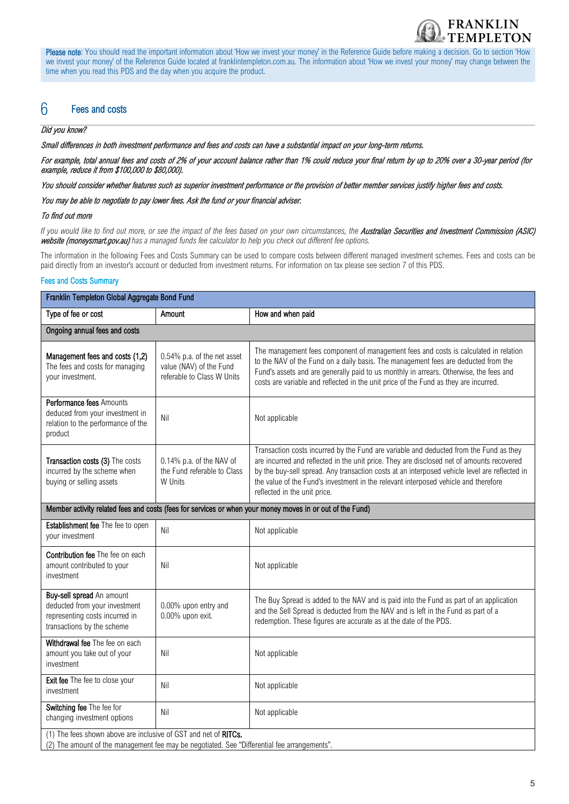

Please note: You should read the important information about 'How we invest your money' in the Reference Guide before making a decision. Go to section 'How we invest your money' of the Reference Guide located at franklintempleton.com.au. The information about 'How we invest your money' may change between the time when you read this PDS and the day when you acquire the product.

# 6 Fees and costs

#### Did you know?

Small differences in both investment performance and fees and costs can have a substantial impact on your long-term returns.

For example, total annual fees and costs of 2% of your account balance rather than 1% could reduce your final return by up to 20% over a 30-year period (for example, reduce it from \$100,000 to \$80,000).

You should consider whether features such as superior investment performance or the provision of better member services justify higher fees and costs.

You may be able to negotiate to pay lower fees. Ask the fund or your financial adviser.

#### To find out more

If you would like to find out more, or see the impact of the fees based on your own circumstances, the **Australian Securities and Investment Commission (ASIC)** website (moneysmart.gov.au) *has a managed funds fee calculator to help you check out different fee options.*

The information in the following Fees and Costs Summary can be used to compare costs between different managed investment schemes. Fees and costs can be paid directly from an investor's account or deducted from investment returns. For information on tax please see section 7 of this PDS.

#### Fees and Costs Summary

| Franklin Templeton Global Aggregate Bond Fund                                                                                                                   |                                                                                      |                                                                                                                                                                                                                                                                                                                                                                                                             |  |  |
|-----------------------------------------------------------------------------------------------------------------------------------------------------------------|--------------------------------------------------------------------------------------|-------------------------------------------------------------------------------------------------------------------------------------------------------------------------------------------------------------------------------------------------------------------------------------------------------------------------------------------------------------------------------------------------------------|--|--|
| Type of fee or cost                                                                                                                                             | Amount                                                                               | How and when paid                                                                                                                                                                                                                                                                                                                                                                                           |  |  |
| Ongoing annual fees and costs                                                                                                                                   |                                                                                      |                                                                                                                                                                                                                                                                                                                                                                                                             |  |  |
| Management fees and costs (1,2)<br>The fees and costs for managing<br>your investment.                                                                          | 0.54% p.a. of the net asset<br>value (NAV) of the Fund<br>referable to Class W Units | The management fees component of management fees and costs is calculated in relation<br>to the NAV of the Fund on a daily basis. The management fees are deducted from the<br>Fund's assets and are generally paid to us monthly in arrears. Otherwise, the fees and<br>costs are variable and reflected in the unit price of the Fund as they are incurred.                                                |  |  |
| Performance fees Amounts<br>deduced from your investment in<br>relation to the performance of the<br>product                                                    | Nil                                                                                  | Not applicable                                                                                                                                                                                                                                                                                                                                                                                              |  |  |
| Transaction costs (3) The costs<br>incurred by the scheme when<br>buying or selling assets                                                                      | 0.14% p.a. of the NAV of<br>the Fund referable to Class<br>W Units                   | Transaction costs incurred by the Fund are variable and deducted from the Fund as they<br>are incurred and reflected in the unit price. They are disclosed net of amounts recovered<br>by the buy-sell spread. Any transaction costs at an interposed vehicle level are reflected in<br>the value of the Fund's investment in the relevant interposed vehicle and therefore<br>reflected in the unit price. |  |  |
| Member activity related fees and costs (fees for services or when your money moves in or out of the Fund)                                                       |                                                                                      |                                                                                                                                                                                                                                                                                                                                                                                                             |  |  |
| Establishment fee The fee to open<br>your investment                                                                                                            | Nil                                                                                  | Not applicable                                                                                                                                                                                                                                                                                                                                                                                              |  |  |
| Contribution fee The fee on each<br>amount contributed to your<br>investment                                                                                    | Nil                                                                                  | Not applicable                                                                                                                                                                                                                                                                                                                                                                                              |  |  |
| Buy-sell spread An amount<br>deducted from your investment<br>representing costs incurred in<br>transactions by the scheme                                      | 0.00% upon entry and<br>0.00% upon exit.                                             | The Buy Spread is added to the NAV and is paid into the Fund as part of an application<br>and the Sell Spread is deducted from the NAV and is left in the Fund as part of a<br>redemption. These figures are accurate as at the date of the PDS.                                                                                                                                                            |  |  |
| Withdrawal fee The fee on each<br>amount you take out of your<br>investment                                                                                     | Nil                                                                                  | Not applicable                                                                                                                                                                                                                                                                                                                                                                                              |  |  |
| Exit fee The fee to close your<br>investment                                                                                                                    | Nil                                                                                  | Not applicable                                                                                                                                                                                                                                                                                                                                                                                              |  |  |
| Switching fee The fee for<br>changing investment options                                                                                                        | Nil                                                                                  | Not applicable                                                                                                                                                                                                                                                                                                                                                                                              |  |  |
| (1) The fees shown above are inclusive of GST and net of RITCs.<br>(2) The amount of the management fee may be negotiated. See "Differential fee arrangements". |                                                                                      |                                                                                                                                                                                                                                                                                                                                                                                                             |  |  |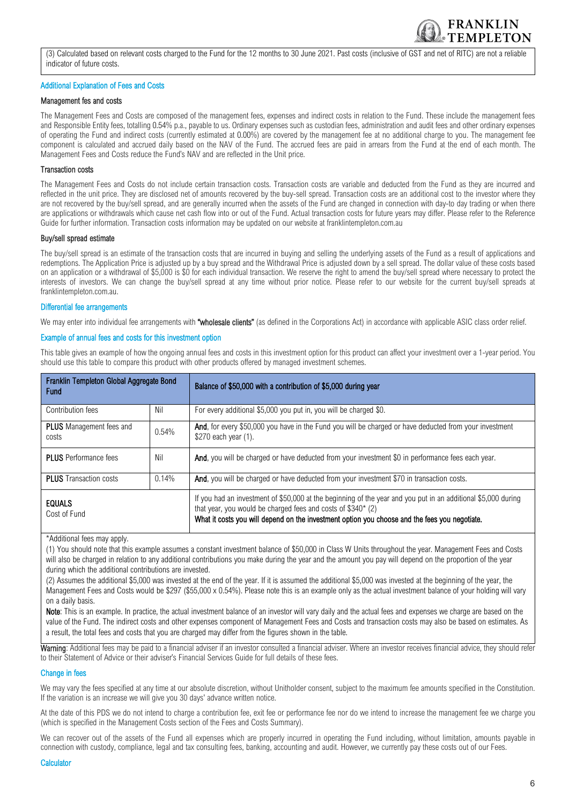

(3) Calculated based on relevant costs charged to the Fund for the 12 months to 30 June 2021. Past costs (inclusive of GST and net of RITC) are not a reliable indicator of future costs.

#### Additional Explanation of Fees and Costs

#### Management fes and costs

The Management Fees and Costs are composed of the management fees, expenses and indirect costs in relation to the Fund. These include the management fees and Responsible Entity fees, totalling 0.54% p.a., payable to us. Ordinary expenses such as custodian fees, administration and audit fees and other ordinary expenses of operating the Fund and indirect costs (currently estimated at 0.00%) are covered by the management fee at no additional charge to you. The management fee component is calculated and accrued daily based on the NAV of the Fund. The accrued fees are paid in arrears from the Fund at the end of each month. The Management Fees and Costs reduce the Fund's NAV and are reflected in the Unit price.

#### Transaction costs

The Management Fees and Costs do not include certain transaction costs. Transaction costs are variable and deducted from the Fund as they are incurred and reflected in the unit price. They are disclosed net of amounts recovered by the buy-sell spread. Transaction costs are an additional cost to the investor where they are not recovered by the buy/sell spread, and are generally incurred when the assets of the Fund are changed in connection with day-to day trading or when there are applications or withdrawals which cause net cash flow into or out of the Fund. Actual transaction costs for future years may differ. Please refer to the Reference Guide for further information. Transaction costs information may be updated on our website at franklintempleton.com.au

#### Buy/sell spread estimate

The buy/sell spread is an estimate of the transaction costs that are incurred in buying and selling the underlying assets of the Fund as a result of applications and redemptions. The Application Price is adjusted up by a buy spread and the Withdrawal Price is adjusted down by a sell spread. The dollar value of these costs based on an application or a withdrawal of \$5,000 is \$0 for each individual transaction. We reserve the right to amend the buy/sell spread where necessary to protect the interests of investors. We can change the buy/sell spread at any time without prior notice. Please refer to our website for the current buy/sell spreads at franklintempleton.com.au.

#### Differential fee arrangements

We may enter into individual fee arrangements with "wholesale clients" (as defined in the Corporations Act) in accordance with applicable ASIC class order relief.

#### Example of annual fees and costs for this investment option

This table gives an example of how the ongoing annual fees and costs in this investment option for this product can affect your investment over a 1-year period. You should use this table to compare this product with other products offered by managed investment schemes.

| Franklin Templeton Global Aggregate Bond<br><b>Fund</b> |       | Balance of \$50,000 with a contribution of \$5,000 during year                                                                                                                                                                                                                 |
|---------------------------------------------------------|-------|--------------------------------------------------------------------------------------------------------------------------------------------------------------------------------------------------------------------------------------------------------------------------------|
| Contribution fees                                       | Nil   | For every additional \$5,000 you put in, you will be charged \$0.                                                                                                                                                                                                              |
| <b>PLUS</b> Management fees and<br>costs                | 0.54% | And, for every \$50,000 you have in the Fund you will be charged or have deducted from your investment<br>\$270 each year (1).                                                                                                                                                 |
| <b>PLUS</b> Performance fees                            | Nil   | And, you will be charged or have deducted from your investment \$0 in performance fees each year.                                                                                                                                                                              |
| <b>PLUS</b> Transaction costs                           | 0.14% | And, you will be charged or have deducted from your investment \$70 in transaction costs.                                                                                                                                                                                      |
| <b>EQUALS</b><br>Cost of Fund                           |       | If you had an investment of \$50,000 at the beginning of the year and you put in an additional \$5,000 during<br>that year, you would be charged fees and costs of \$340* (2)<br>What it costs you will depend on the investment option you choose and the fees you negotiate. |

\*Additional fees may apply.

(1) You should note that this example assumes a constant investment balance of \$50,000 in Class W Units throughout the year. Management Fees and Costs will also be charged in relation to any additional contributions you make during the year and the amount you pay will depend on the proportion of the year during which the additional contributions are invested.

(2) Assumes the additional \$5,000 was invested at the end of the year. If it is assumed the additional \$5,000 was invested at the beginning of the year, the Management Fees and Costs would be \$297 (\$55,000 x 0.54%). Please note this is an example only as the actual investment balance of your holding will vary on a daily basis.

Note: This is an example. In practice, the actual investment balance of an investor will vary daily and the actual fees and expenses we charge are based on the value of the Fund. The indirect costs and other expenses component of Management Fees and Costs and transaction costs may also be based on estimates. As a result, the total fees and costs that you are charged may differ from the figures shown in the table.

Warning: Additional fees may be paid to a financial adviser if an investor consulted a financial adviser. Where an investor receives financial advice, they should refer to their Statement of Advice or their adviser's Financial Services Guide for full details of these fees.

#### Change in fees

We may vary the fees specified at any time at our absolute discretion, without Unitholder consent, subject to the maximum fee amounts specified in the Constitution. If the variation is an increase we will give you 30 days' advance written notice.

At the date of this PDS we do not intend to charge a contribution fee, exit fee or performance fee nor do we intend to increase the management fee we charge you (which is specified in the Management Costs section of the Fees and Costs Summary).

We can recover out of the assets of the Fund all expenses which are properly incurred in operating the Fund including, without limitation, amounts payable in connection with custody, compliance, legal and tax consulting fees, banking, accounting and audit. However, we currently pay these costs out of our Fees.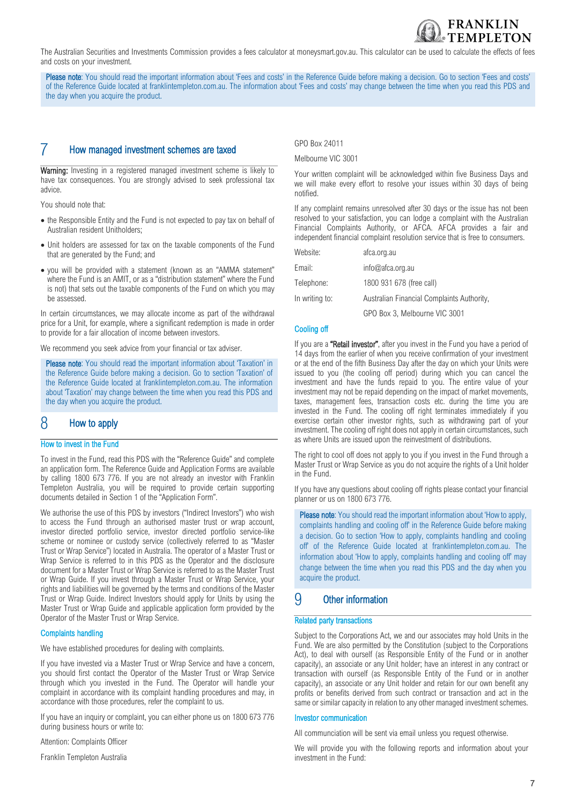The Australian Securities and Investments Commission provides a fees calculator at moneysmart.gov.au. This calculator can be used to calculate the effects of fees and costs on your investment.

Please note: You should read the important information about 'Fees and costs' in the Reference Guide before making a decision. Go to section 'Fees and costs' of the Reference Guide located at franklintempleton.com.au. The information about 'Fees and costs' may change between the time when you read this PDS and the day when you acquire the product.

# 7 How managed investment schemes are taxed

Warning: Investing in a registered managed investment scheme is likely to have tax consequences. You are strongly advised to seek professional tax advice.

You should note that:

- the Responsible Entity and the Fund is not expected to pay tax on behalf of Australian resident Unitholders;
- Unit holders are assessed for tax on the taxable components of the Fund that are generated by the Fund; and
- you will be provided with a statement (known as an "AMMA statement" where the Fund is an AMIT, or as a "distribution statement" where the Fund is not) that sets out the taxable components of the Fund on which you may be assessed.

In certain circumstances, we may allocate income as part of the withdrawal price for a Unit, for example, where a significant redemption is made in order to provide for a fair allocation of income between investors.

We recommend you seek advice from your financial or tax adviser.

Please note: You should read the important information about 'Taxation' in the Reference Guide before making a decision. Go to section 'Taxation' of the Reference Guide located at franklintempleton.com.au. The information about 'Taxation' may change between the time when you read this PDS and the day when you acquire the product.

# 8 How to apply

#### How to invest in the Fund

To invest in the Fund, read this PDS with the "Reference Guide" and complete an application form. The Reference Guide and Application Forms are available by calling 1800 673 776. If you are not already an investor with Franklin Templeton Australia, you will be required to provide certain supporting documents detailed in Section 1 of the "Application Form".

We authorise the use of this PDS by investors ("Indirect Investors") who wish to access the Fund through an authorised master trust or wrap account, investor directed portfolio service, investor directed portfolio service-like scheme or nominee or custody service (collectively referred to as "Master Trust or Wrap Service") located in Australia. The operator of a Master Trust or Wrap Service is referred to in this PDS as the Operator and the disclosure document for a Master Trust or Wrap Service is referred to as the Master Trust or Wrap Guide. If you invest through a Master Trust or Wrap Service, your rights and liabilities will be governed by the terms and conditions of the Master Trust or Wrap Guide. Indirect Investors should apply for Units by using the Master Trust or Wrap Guide and applicable application form provided by the Operator of the Master Trust or Wrap Service.

#### Complaints handling

We have established procedures for dealing with complaints.

If you have invested via a Master Trust or Wrap Service and have a concern, you should first contact the Operator of the Master Trust or Wrap Service through which you invested in the Fund. The Operator will handle your complaint in accordance with its complaint handling procedures and may, in accordance with those procedures, refer the complaint to us.

If you have an inquiry or complaint, you can either phone us on 1800 673 776 during business hours or write to:

Attention: Complaints Officer

Franklin Templeton Australia

GPO Box 24011

Melbourne VIC 3001

Your written complaint will be acknowledged within five Business Days and we will make every effort to resolve your issues within 30 days of being notified.

**FRANKLIN** 

If any complaint remains unresolved after 30 days or the issue has not been resolved to your satisfaction, you can lodge a complaint with the Australian Financial Complaints Authority, or AFCA. AFCA provides a fair and independent financial complaint resolution service that is free to consumers.

| Website:       | afca.org.au                                |
|----------------|--------------------------------------------|
| Email:         | info@afca.org.au                           |
| Telephone:     | 1800 931 678 (free call)                   |
| In writing to: | Australian Financial Complaints Authority, |
|                | GPO Box 3, Melbourne VIC 3001              |

#### Cooling off

If you are a "Retail investor", after you invest in the Fund you have a period of 14 days from the earlier of when you receive confirmation of your investment or at the end of the fifth Business Day after the day on which your Units were issued to you (the cooling off period) during which you can cancel the investment and have the funds repaid to you. The entire value of your investment may not be repaid depending on the impact of market movements, taxes, management fees, transaction costs etc. during the time you are invested in the Fund. The cooling off right terminates immediately if you exercise certain other investor rights, such as withdrawing part of your investment. The cooling off right does not apply in certain circumstances, such as where Units are issued upon the reinvestment of distributions.

The right to cool off does not apply to you if you invest in the Fund through a Master Trust or Wrap Service as you do not acquire the rights of a Unit holder in the Fund.

If you have any questions about cooling off rights please contact your financial planner or us on 1800 673 776.

Please note: You should read the important information about 'How to apply, complaints handling and cooling off' in the Reference Guide before making a decision. Go to section 'How to apply, complaints handling and cooling off' of the Reference Guide located at franklintempleton.com.au. The information about 'How to apply, complaints handling and cooling off' may change between the time when you read this PDS and the day when you acquire the product.

## 9 Other information

### Related party transactions

Subject to the Corporations Act, we and our associates may hold Units in the Fund. We are also permitted by the Constitution (subject to the Corporations Act), to deal with ourself (as Responsible Entity of the Fund or in another capacity), an associate or any Unit holder; have an interest in any contract or transaction with ourself (as Responsible Entity of the Fund or in another capacity), an associate or any Unit holder and retain for our own benefit any profits or benefits derived from such contract or transaction and act in the same or similar capacity in relation to any other managed investment schemes.

#### Investor communication

All communciation will be sent via email unless you request otherwise.

We will provide you with the following reports and information about your investment in the Fund: